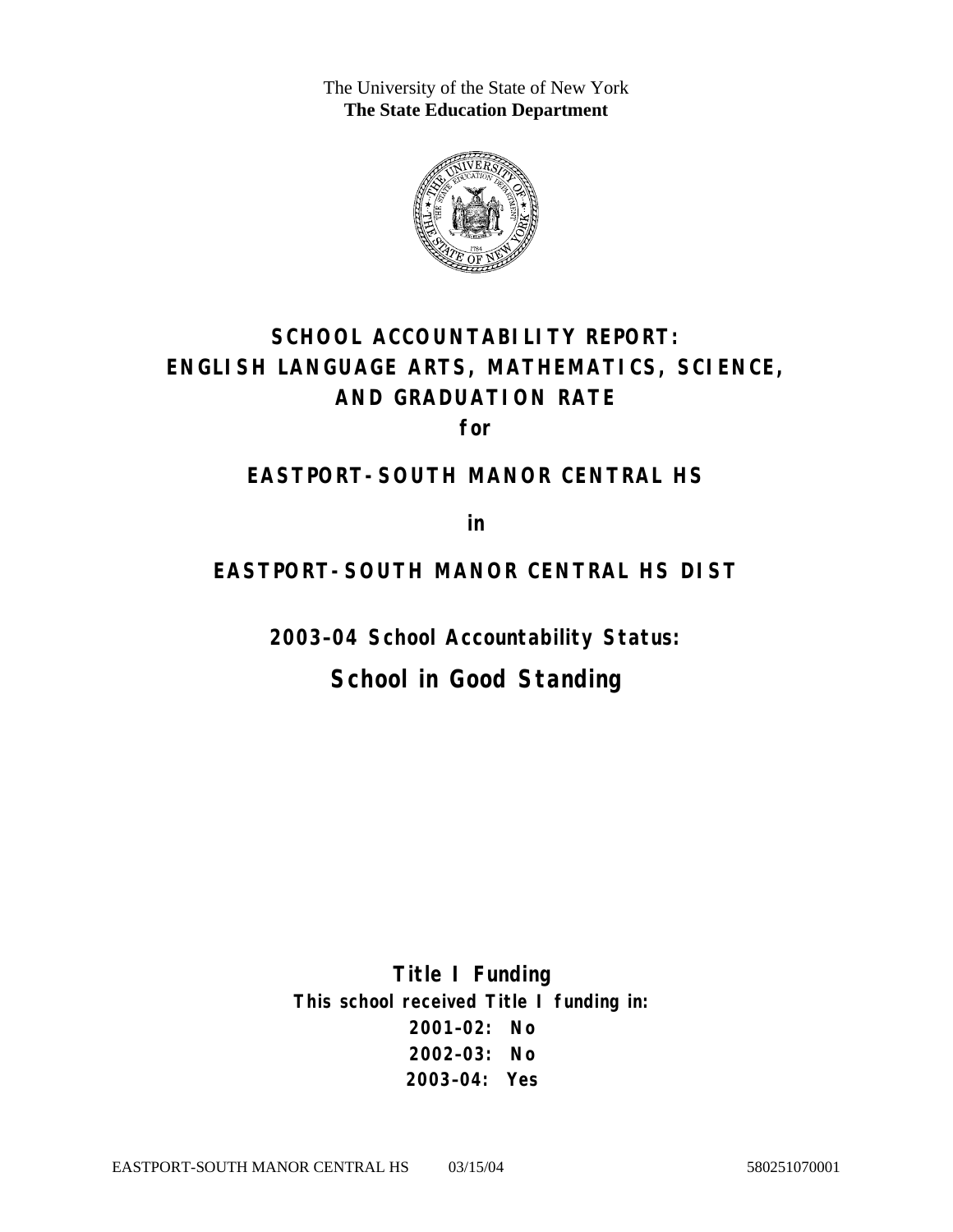The University of the State of New York **The State Education Department** 



# **SCHOOL ACCOUNTABILITY REPORT: ENGLISH LANGUAGE ARTS, MATHEMATICS, SCIENCE, AND GRADUATION RATE**

**for** 

#### **EASTPORT-SOUTH MANOR CENTRAL HS**

**in** 

#### **EASTPORT-SOUTH MANOR CENTRAL HS DIST**

**2003–04 School Accountability Status:** 

## **School in Good Standing**

**Title I Funding This school received Title I funding in: 2001–02: No 2002–03: No 2003–04: Yes**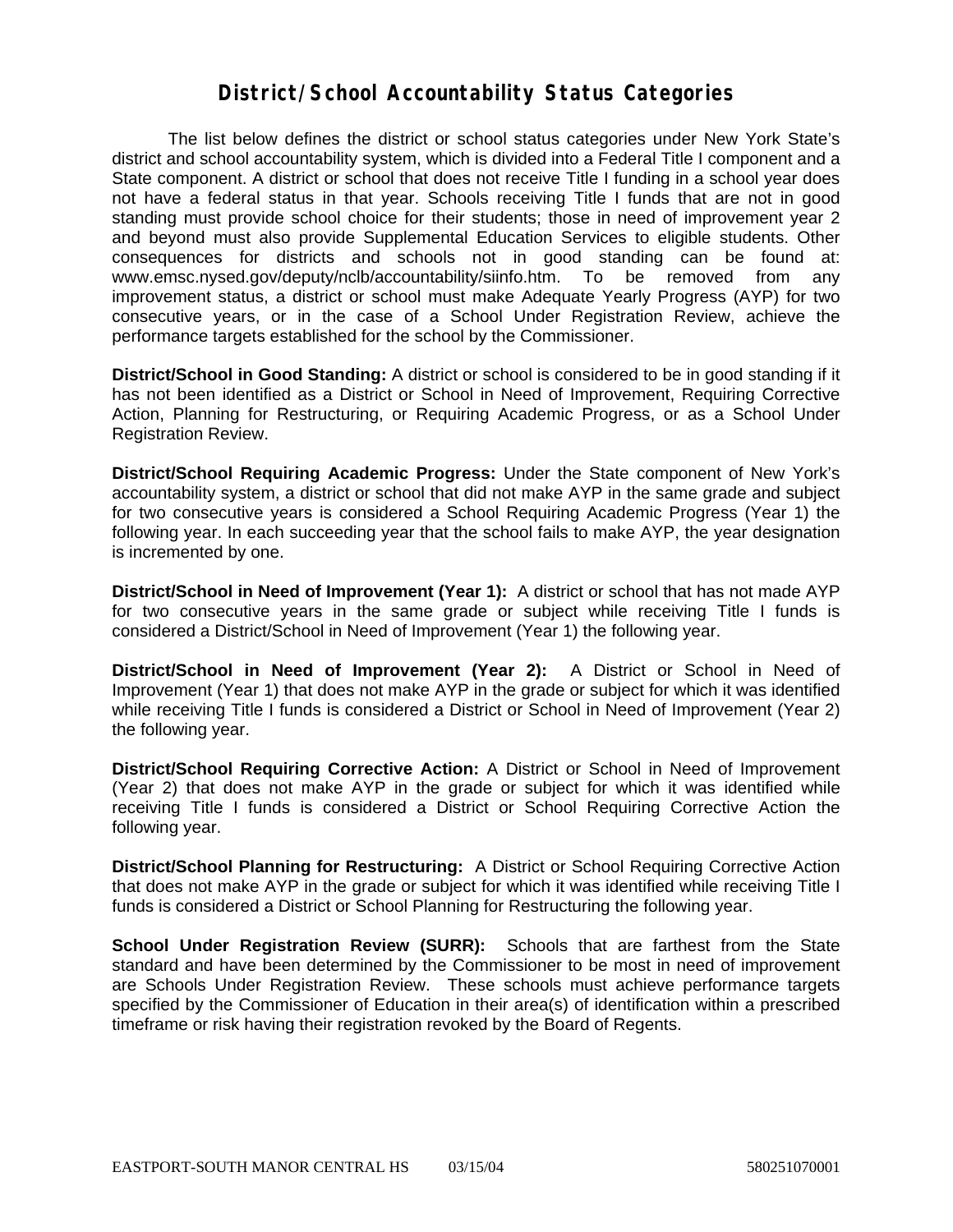#### **District/School Accountability Status Categories**

The list below defines the district or school status categories under New York State's district and school accountability system, which is divided into a Federal Title I component and a State component. A district or school that does not receive Title I funding in a school year does not have a federal status in that year. Schools receiving Title I funds that are not in good standing must provide school choice for their students; those in need of improvement year 2 and beyond must also provide Supplemental Education Services to eligible students. Other consequences for districts and schools not in good standing can be found at: www.emsc.nysed.gov/deputy/nclb/accountability/siinfo.htm. To be removed from any improvement status, a district or school must make Adequate Yearly Progress (AYP) for two consecutive years, or in the case of a School Under Registration Review, achieve the performance targets established for the school by the Commissioner.

**District/School in Good Standing:** A district or school is considered to be in good standing if it has not been identified as a District or School in Need of Improvement, Requiring Corrective Action, Planning for Restructuring, or Requiring Academic Progress, or as a School Under Registration Review.

**District/School Requiring Academic Progress:** Under the State component of New York's accountability system, a district or school that did not make AYP in the same grade and subject for two consecutive years is considered a School Requiring Academic Progress (Year 1) the following year. In each succeeding year that the school fails to make AYP, the year designation is incremented by one.

**District/School in Need of Improvement (Year 1):** A district or school that has not made AYP for two consecutive years in the same grade or subject while receiving Title I funds is considered a District/School in Need of Improvement (Year 1) the following year.

**District/School in Need of Improvement (Year 2):** A District or School in Need of Improvement (Year 1) that does not make AYP in the grade or subject for which it was identified while receiving Title I funds is considered a District or School in Need of Improvement (Year 2) the following year.

**District/School Requiring Corrective Action:** A District or School in Need of Improvement (Year 2) that does not make AYP in the grade or subject for which it was identified while receiving Title I funds is considered a District or School Requiring Corrective Action the following year.

**District/School Planning for Restructuring:** A District or School Requiring Corrective Action that does not make AYP in the grade or subject for which it was identified while receiving Title I funds is considered a District or School Planning for Restructuring the following year.

**School Under Registration Review (SURR):** Schools that are farthest from the State standard and have been determined by the Commissioner to be most in need of improvement are Schools Under Registration Review. These schools must achieve performance targets specified by the Commissioner of Education in their area(s) of identification within a prescribed timeframe or risk having their registration revoked by the Board of Regents.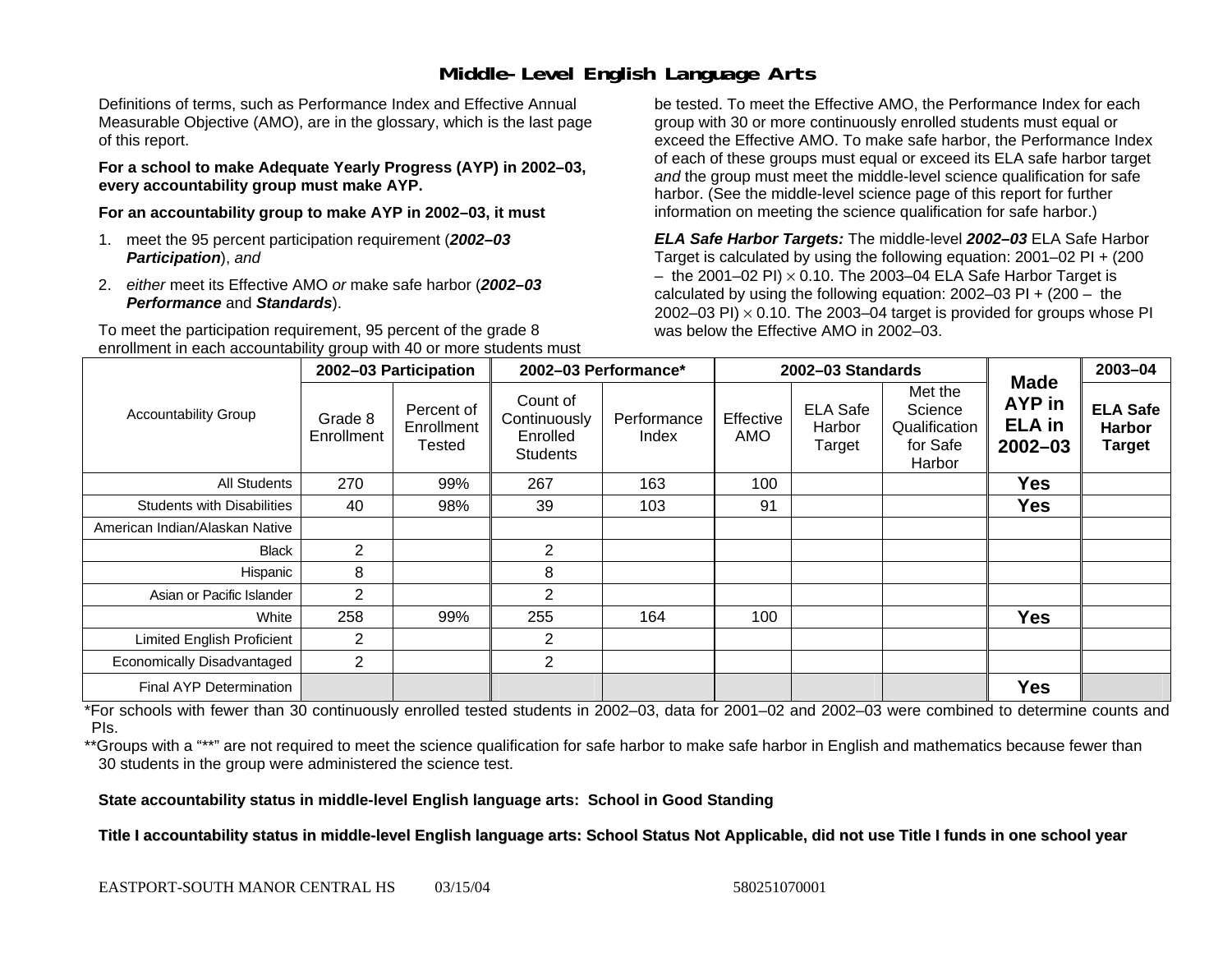### **Middle-Level English Language Arts**

Definitions of terms, such as Performance Index and Effective Annual Measurable Objective (AMO), are in the glossary, which is the last page of this report.

**For a school to make Adequate Yearly Progress (AYP) in 2002–03, every accountability group must make AYP.** 

**For an accountability group to make AYP in 2002–03, it must** 

- 1. meet the 95 percent participation requirement (*2002–03 Participation*), *and*
- 2. *either* meet its Effective AMO *or* make safe harbor (*2002–03 Performance* and *Standards*).

To meet the participation requirement, 95 percent of the grade 8 enrollment in each accountability group with 40 or more students must

be tested. To meet the Effective AMO, the Performance Index for each group with 30 or more continuously enrolled students must equal or exceed the Effective AMO. To make safe harbor, the Performance Index of each of these groups must equal or exceed its ELA safe harbor target *and* the group must meet the middle-level science qualification for safe harbor. (See the middle-level science page of this report for further information on meeting the science qualification for safe harbor.)

*ELA Safe Harbor Targets:* The middle-level *2002–03* ELA Safe Harbor Target is calculated by using the following equation: 2001–02 PI + (200  $-$  the 2001–02 PI)  $\times$  0.10. The 2003–04 ELA Safe Harbor Target is  $\,$ calculated by using the following equation:  $2002-03$  PI +  $(200 -$  the 2002–03 PI)  $\times$  0.10. The 2003–04 target is provided for groups whose PI was below the Effective AMO in 2002–03.

| <b>Accountability Group</b>       | 2002-03 Participation |                                    | 2002-03 Performance*                                    |                      |                  | 2002-03 Standards                   |                                                           | $2003 - 04$                                           |                                                   |
|-----------------------------------|-----------------------|------------------------------------|---------------------------------------------------------|----------------------|------------------|-------------------------------------|-----------------------------------------------------------|-------------------------------------------------------|---------------------------------------------------|
|                                   | Grade 8<br>Enrollment | Percent of<br>Enrollment<br>Tested | Count of<br>Continuously<br>Enrolled<br><b>Students</b> | Performance<br>Index | Effective<br>AMO | <b>ELA Safe</b><br>Harbor<br>Target | Met the<br>Science<br>Qualification<br>for Safe<br>Harbor | <b>Made</b><br>AYP in<br><b>ELA</b> in<br>$2002 - 03$ | <b>ELA Safe</b><br><b>Harbor</b><br><b>Target</b> |
| All Students                      | 270                   | 99%                                | 267                                                     | 163                  | 100              |                                     |                                                           | <b>Yes</b>                                            |                                                   |
| <b>Students with Disabilities</b> | 40                    | 98%                                | 39                                                      | 103                  | 91               |                                     |                                                           | <b>Yes</b>                                            |                                                   |
| American Indian/Alaskan Native    |                       |                                    |                                                         |                      |                  |                                     |                                                           |                                                       |                                                   |
| <b>Black</b>                      | $\overline{2}$        |                                    | 2                                                       |                      |                  |                                     |                                                           |                                                       |                                                   |
| Hispanic                          | 8                     |                                    | 8                                                       |                      |                  |                                     |                                                           |                                                       |                                                   |
| Asian or Pacific Islander         | 2                     |                                    | 2                                                       |                      |                  |                                     |                                                           |                                                       |                                                   |
| White                             | 258                   | 99%                                | 255                                                     | 164                  | 100              |                                     |                                                           | <b>Yes</b>                                            |                                                   |
| Limited English Proficient        | 2                     |                                    | 2                                                       |                      |                  |                                     |                                                           |                                                       |                                                   |
| Economically Disadvantaged        | 2                     |                                    | $\overline{2}$                                          |                      |                  |                                     |                                                           |                                                       |                                                   |
| <b>Final AYP Determination</b>    |                       |                                    |                                                         |                      |                  |                                     |                                                           | <b>Yes</b>                                            |                                                   |

\*For schools with fewer than 30 continuously enrolled tested students in 2002–03, data for 2001–02 and 2002–03 were combined to determine counts and PIs.

\*\*Groups with a "\*\*" are not required to meet the science qualification for safe harbor to make safe harbor in English and mathematics because fewer than 30 students in the group were administered the science test.

**State accountability status in middle-level English language arts: School in Good Standing** 

Title I accountability status in middle-level English language arts: School Status Not Applicable, did not use Title I funds in one school year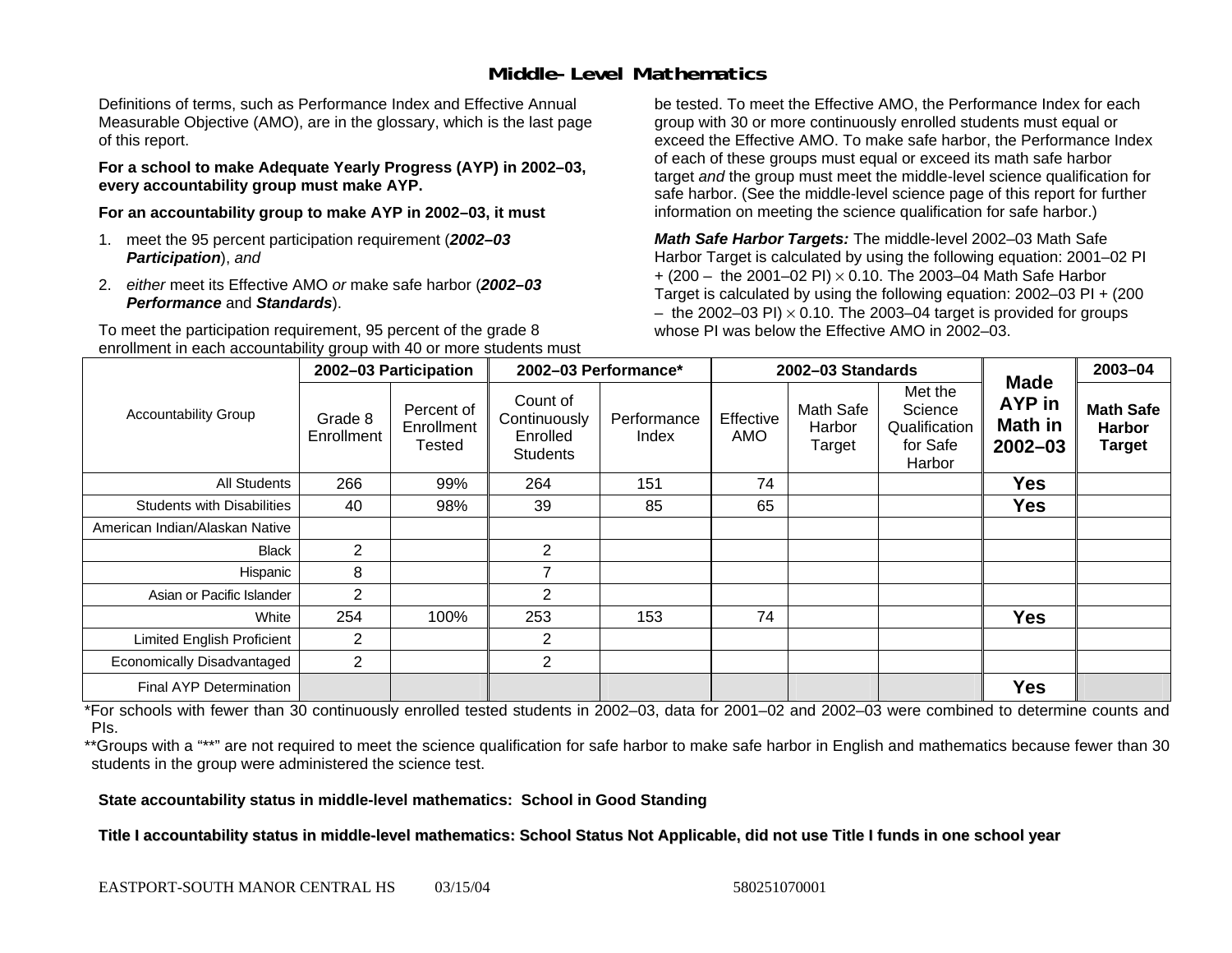### **Middle-Level Mathematics**

Definitions of terms, such as Performance Index and Effective Annual Measurable Objective (AMO), are in the glossary, which is the last page of this report.

**For a school to make Adequate Yearly Progress (AYP) in 2002–03, every accountability group must make AYP.** 

**For an accountability group to make AYP in 2002–03, it must** 

- 1. meet the 95 percent participation requirement (*2002–03 Participation*), *and*
- 2. *either* meet its Effective AMO *or* make safe harbor (*2002–03 Performance* and *Standards*).

To meet the participation requirement, 95 percent of the grade 8 enrollment in each accountability group with 40 or more students must

be tested. To meet the Effective AMO, the Performance Index for each group with 30 or more continuously enrolled students must equal or exceed the Effective AMO. To make safe harbor, the Performance Index of each of these groups must equal or exceed its math safe harbor target *and* the group must meet the middle-level science qualification for safe harbor. (See the middle-level science page of this report for further information on meeting the science qualification for safe harbor.)

*Math Safe Harbor Targets:* The middle-level 2002–03 Math Safe Harbor Target is calculated by using the following equation: 2001–02 PI + (200 – the 2001–02 PI) × 0.10. The 2003–04 Math Safe Harbor Target is calculated by using the following equation: 2002–03 PI + (200  $-$  the 2002–03 PI)  $\times$  0.10. The 2003–04 target is provided for groups whose PI was below the Effective AMO in 2002–03.

| <b>Accountability Group</b>       | 2002-03 Participation |                                    | 2002-03 Performance*                                    |                      |                  | 2002-03 Standards             |                                                           | 2003-04                                                       |                                                    |
|-----------------------------------|-----------------------|------------------------------------|---------------------------------------------------------|----------------------|------------------|-------------------------------|-----------------------------------------------------------|---------------------------------------------------------------|----------------------------------------------------|
|                                   | Grade 8<br>Enrollment | Percent of<br>Enrollment<br>Tested | Count of<br>Continuously<br>Enrolled<br><b>Students</b> | Performance<br>Index | Effective<br>AMO | Math Safe<br>Harbor<br>Target | Met the<br>Science<br>Qualification<br>for Safe<br>Harbor | <b>Made</b><br><b>AYP</b> in<br><b>Math in</b><br>$2002 - 03$ | <b>Math Safe</b><br><b>Harbor</b><br><b>Target</b> |
| All Students                      | 266                   | 99%                                | 264                                                     | 151                  | 74               |                               |                                                           | <b>Yes</b>                                                    |                                                    |
| <b>Students with Disabilities</b> | 40                    | 98%                                | 39                                                      | 85                   | 65               |                               |                                                           | <b>Yes</b>                                                    |                                                    |
| American Indian/Alaskan Native    |                       |                                    |                                                         |                      |                  |                               |                                                           |                                                               |                                                    |
| <b>Black</b>                      | $\overline{2}$        |                                    | $\overline{2}$                                          |                      |                  |                               |                                                           |                                                               |                                                    |
| Hispanic                          | 8                     |                                    | 7                                                       |                      |                  |                               |                                                           |                                                               |                                                    |
| Asian or Pacific Islander         | $\overline{2}$        |                                    | 2                                                       |                      |                  |                               |                                                           |                                                               |                                                    |
| White                             | 254                   | 100%                               | 253                                                     | 153                  | 74               |                               |                                                           | <b>Yes</b>                                                    |                                                    |
| Limited English Proficient        | $\overline{2}$        |                                    | 2                                                       |                      |                  |                               |                                                           |                                                               |                                                    |
| Economically Disadvantaged        | $\overline{2}$        |                                    | $\overline{2}$                                          |                      |                  |                               |                                                           |                                                               |                                                    |
| Final AYP Determination           |                       |                                    |                                                         |                      |                  |                               |                                                           | <b>Yes</b>                                                    |                                                    |

\*For schools with fewer than 30 continuously enrolled tested students in 2002–03, data for 2001–02 and 2002–03 were combined to determine counts and PIs.

\*\*Groups with a "\*\*" are not required to meet the science qualification for safe harbor to make safe harbor in English and mathematics because fewer than 30 students in the group were administered the science test.

**State accountability status in middle-level mathematics: School in Good Standing** 

Title I accountability status in middle-level mathematics: School Status Not Applicable, did not use Title I funds in one school year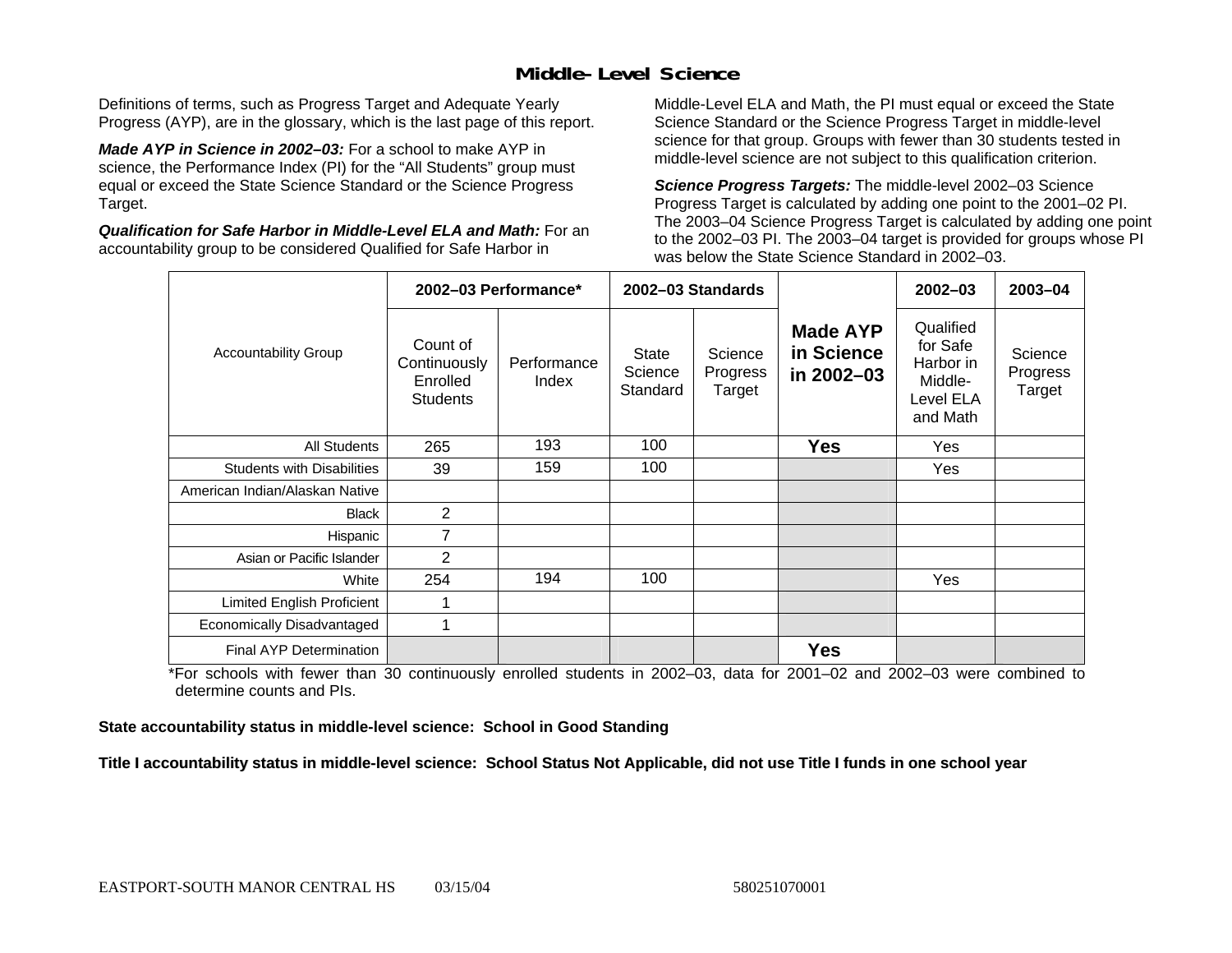### **Middle-Level Science**

Definitions of terms, such as Progress Target and Adequate Yearly Progress (AYP), are in the glossary, which is the last page of this report.

*Made AYP in Science in 2002–03:* For a school to make AYP in science, the Performance Index (PI) for the "All Students" group must equal or exceed the State Science Standard or the Science Progress Target.

*Qualification for Safe Harbor in Middle-Level ELA and Math:* For an accountability group to be considered Qualified for Safe Harbor in

Middle-Level ELA and Math, the PI must equal or exceed the State Science Standard or the Science Progress Target in middle-level science for that group. Groups with fewer than 30 students tested in middle-level science are not subject to this qualification criterion.

*Science Progress Targets:* The middle-level 2002–03 Science Progress Target is calculated by adding one point to the 2001–02 PI. The 2003–04 Science Progress Target is calculated by adding one point to the 2002–03 PI. The 2003–04 target is provided for groups whose PI was below the State Science Standard in 2002–03.

|                                   |                                                         | 2002-03 Performance* |                                     | 2002-03 Standards             |                                             | $2002 - 03$                                                            | $2003 - 04$                   |
|-----------------------------------|---------------------------------------------------------|----------------------|-------------------------------------|-------------------------------|---------------------------------------------|------------------------------------------------------------------------|-------------------------------|
| <b>Accountability Group</b>       | Count of<br>Continuously<br>Enrolled<br><b>Students</b> | Performance<br>Index | <b>State</b><br>Science<br>Standard | Science<br>Progress<br>Target | <b>Made AYP</b><br>in Science<br>in 2002-03 | Qualified<br>for Safe<br>Harbor in<br>Middle-<br>Level ELA<br>and Math | Science<br>Progress<br>Target |
| <b>All Students</b>               | 265                                                     | 193                  | 100                                 |                               | <b>Yes</b>                                  | Yes                                                                    |                               |
| <b>Students with Disabilities</b> | 39                                                      | 159                  | 100                                 |                               |                                             | Yes                                                                    |                               |
| American Indian/Alaskan Native    |                                                         |                      |                                     |                               |                                             |                                                                        |                               |
| <b>Black</b>                      | 2                                                       |                      |                                     |                               |                                             |                                                                        |                               |
| Hispanic                          | 7                                                       |                      |                                     |                               |                                             |                                                                        |                               |
| Asian or Pacific Islander         | 2                                                       |                      |                                     |                               |                                             |                                                                        |                               |
| White                             | 254                                                     | 194                  | 100                                 |                               |                                             | Yes                                                                    |                               |
| Limited English Proficient        | 1                                                       |                      |                                     |                               |                                             |                                                                        |                               |
| Economically Disadvantaged        | 1                                                       |                      |                                     |                               |                                             |                                                                        |                               |
| <b>Final AYP Determination</b>    |                                                         |                      |                                     |                               | <b>Yes</b>                                  |                                                                        |                               |

\*For schools with fewer than 30 continuously enrolled students in 2002–03, data for 2001–02 and 2002–03 were combined to determine counts and PIs.

**State accountability status in middle-level science: School in Good Standing** 

Title I accountability status in middle-level science: School Status Not Applicable, did not use Title I funds in one school year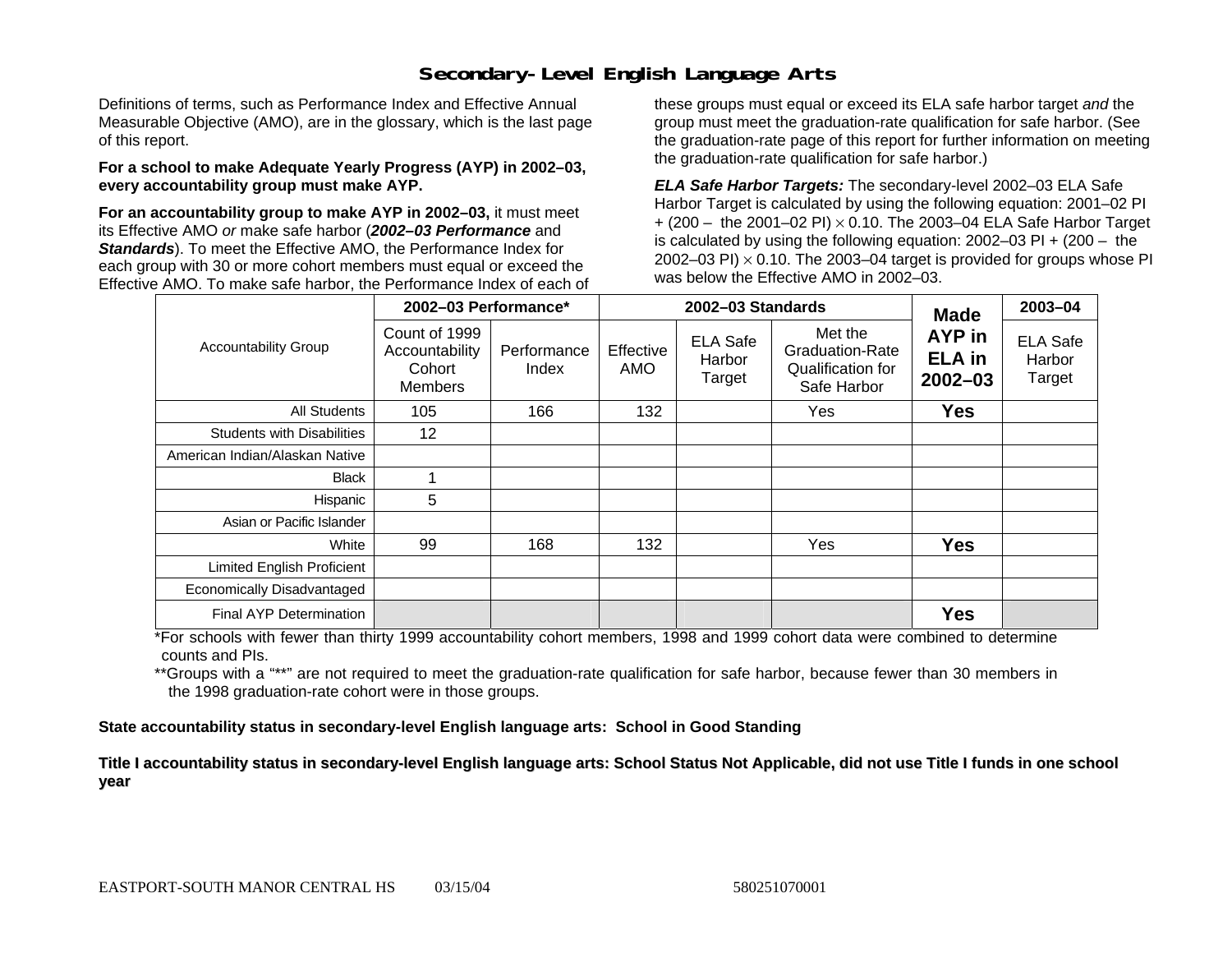### **Secondary-Level English Language Arts**

Definitions of terms, such as Performance Index and Effective Annual Measurable Objective (AMO), are in the glossary, which is the last page of this report.

#### **For a school to make Adequate Yearly Progress (AYP) in 2002–03, every accountability group must make AYP.**

**For an accountability group to make AYP in 2002–03,** it must meet its Effective AMO *or* make safe harbor (*2002–03 Performance* and *Standards*). To meet the Effective AMO, the Performance Index for each group with 30 or more cohort members must equal or exceed the Effective AMO. To make safe harbor, the Performance Index of each of these groups must equal or exceed its ELA safe harbor target *and* the group must meet the graduation-rate qualification for safe harbor. (See the graduation-rate page of this report for further information on meeting the graduation-rate qualification for safe harbor.)

*ELA Safe Harbor Targets:* The secondary-level 2002–03 ELA Safe Harbor Target is calculated by using the following equation: 2001–02 PI + (200 – the 2001–02 PI) <sup>×</sup> 0.10. The 2003–04 ELA Safe Harbor Target is calculated by using the following equation: 2002–03 PI + (200 – the 2002–03 PI)  $\times$  0.10. The 2003–04 target is provided for groups whose PI was below the Effective AMO in 2002–03.

|                                   | 2002-03 Performance*                                        |                      |                  | 2002-03 Standards                   | <b>Made</b>                                                    | 2003-04                                |                                     |
|-----------------------------------|-------------------------------------------------------------|----------------------|------------------|-------------------------------------|----------------------------------------------------------------|----------------------------------------|-------------------------------------|
| <b>Accountability Group</b>       | Count of 1999<br>Accountability<br>Cohort<br><b>Members</b> | Performance<br>Index | Effective<br>AMO | <b>ELA Safe</b><br>Harbor<br>Target | Met the<br>Graduation-Rate<br>Qualification for<br>Safe Harbor | AYP in<br><b>ELA</b> in<br>$2002 - 03$ | <b>ELA Safe</b><br>Harbor<br>Target |
| All Students                      | 105                                                         | 166                  | 132              |                                     | Yes                                                            | <b>Yes</b>                             |                                     |
| <b>Students with Disabilities</b> | 12                                                          |                      |                  |                                     |                                                                |                                        |                                     |
| American Indian/Alaskan Native    |                                                             |                      |                  |                                     |                                                                |                                        |                                     |
| <b>Black</b>                      |                                                             |                      |                  |                                     |                                                                |                                        |                                     |
| Hispanic                          | 5                                                           |                      |                  |                                     |                                                                |                                        |                                     |
| Asian or Pacific Islander         |                                                             |                      |                  |                                     |                                                                |                                        |                                     |
| White                             | 99                                                          | 168                  | 132              |                                     | Yes                                                            | <b>Yes</b>                             |                                     |
| Limited English Proficient        |                                                             |                      |                  |                                     |                                                                |                                        |                                     |
| Economically Disadvantaged        |                                                             |                      |                  |                                     |                                                                |                                        |                                     |
| Final AYP Determination           |                                                             |                      |                  |                                     |                                                                | <b>Yes</b>                             |                                     |

\*For schools with fewer than thirty 1999 accountability cohort members, 1998 and 1999 cohort data were combined to determine counts and PIs.

\*\*Groups with a "\*\*" are not required to meet the graduation-rate qualification for safe harbor, because fewer than 30 members in the 1998 graduation-rate cohort were in those groups.

**State accountability status in secondary-level English language arts: School in Good Standing** 

Title I accountability status in secondary-level English language arts: School Status Not Applicable, did not use Title I funds in one school **y ear**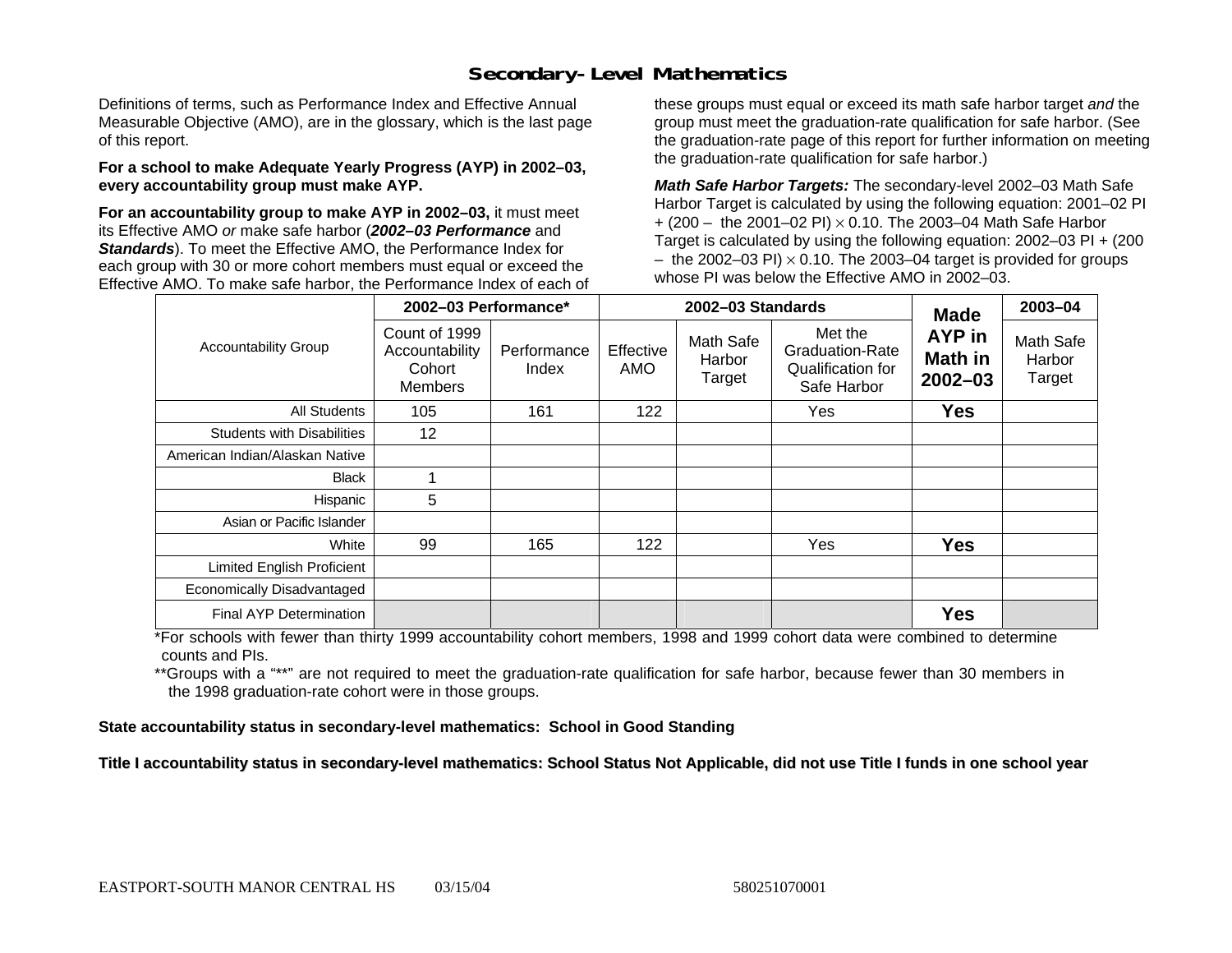### **Secondary-Level Mathematics**

Definitions of terms, such as Performance Index and Effective Annual Measurable Objective (AMO), are in the glossary, which is the last page of this report.

#### **For a school to make Adequate Yearly Progress (AYP) in 2002–03, every accountability group must make AYP.**

**For an accountability group to make AYP in 2002–03,** it must meet its Effective AMO *or* make safe harbor (*2002–03 Performance* and *Standards*). To meet the Effective AMO, the Performance Index for each group with 30 or more cohort members must equal or exceed the Effective AMO. To make safe harbor, the Performance Index of each of these groups must equal or exceed its math safe harbor target *and* the group must meet the graduation-rate qualification for safe harbor. (See the graduation-rate page of this report for further information on meeting the graduation-rate qualification for safe harbor.)

*Math Safe Harbor Targets:* The secondary-level 2002–03 Math Safe Harbor Target is calculated by using the following equation: 2001–02 PI + (200 – the 2001–02 PI) × 0.10. The 2003–04 Math Safe Harbor Target is calculated by using the following equation: 2002–03 PI + (200  $-$  the 2002–03 PI)  $\times$  0.10. The 2003–04 target is provided for groups whose PI was below the Effective AMO in 2002–03.

|                                   | 2002-03 Performance*                                        |                      |                  | 2002-03 Standards             | <b>Made</b>                                                           | 2003-04                          |                               |
|-----------------------------------|-------------------------------------------------------------|----------------------|------------------|-------------------------------|-----------------------------------------------------------------------|----------------------------------|-------------------------------|
| <b>Accountability Group</b>       | Count of 1999<br>Accountability<br>Cohort<br><b>Members</b> | Performance<br>Index | Effective<br>AMO | Math Safe<br>Harbor<br>Target | Met the<br><b>Graduation-Rate</b><br>Qualification for<br>Safe Harbor | AYP in<br>Math in<br>$2002 - 03$ | Math Safe<br>Harbor<br>Target |
| All Students                      | 105                                                         | 161                  | 122              |                               | Yes                                                                   | <b>Yes</b>                       |                               |
| <b>Students with Disabilities</b> | 12 <sup>2</sup>                                             |                      |                  |                               |                                                                       |                                  |                               |
| American Indian/Alaskan Native    |                                                             |                      |                  |                               |                                                                       |                                  |                               |
| <b>Black</b>                      |                                                             |                      |                  |                               |                                                                       |                                  |                               |
| Hispanic                          | 5                                                           |                      |                  |                               |                                                                       |                                  |                               |
| Asian or Pacific Islander         |                                                             |                      |                  |                               |                                                                       |                                  |                               |
| White                             | 99                                                          | 165                  | 122              |                               | Yes                                                                   | <b>Yes</b>                       |                               |
| Limited English Proficient        |                                                             |                      |                  |                               |                                                                       |                                  |                               |
| Economically Disadvantaged        |                                                             |                      |                  |                               |                                                                       |                                  |                               |
| <b>Final AYP Determination</b>    |                                                             |                      |                  |                               |                                                                       | <b>Yes</b>                       |                               |

\*For schools with fewer than thirty 1999 accountability cohort members, 1998 and 1999 cohort data were combined to determine counts and PIs.

\*\*Groups with a "\*\*" are not required to meet the graduation-rate qualification for safe harbor, because fewer than 30 members in the 1998 graduation-rate cohort were in those groups.

**State accountability status in secondary-level mathematics: School in Good Standing** 

Title I accountability status in secondary-level mathematics: School Status Not Applicable, did not use Title I funds in one school year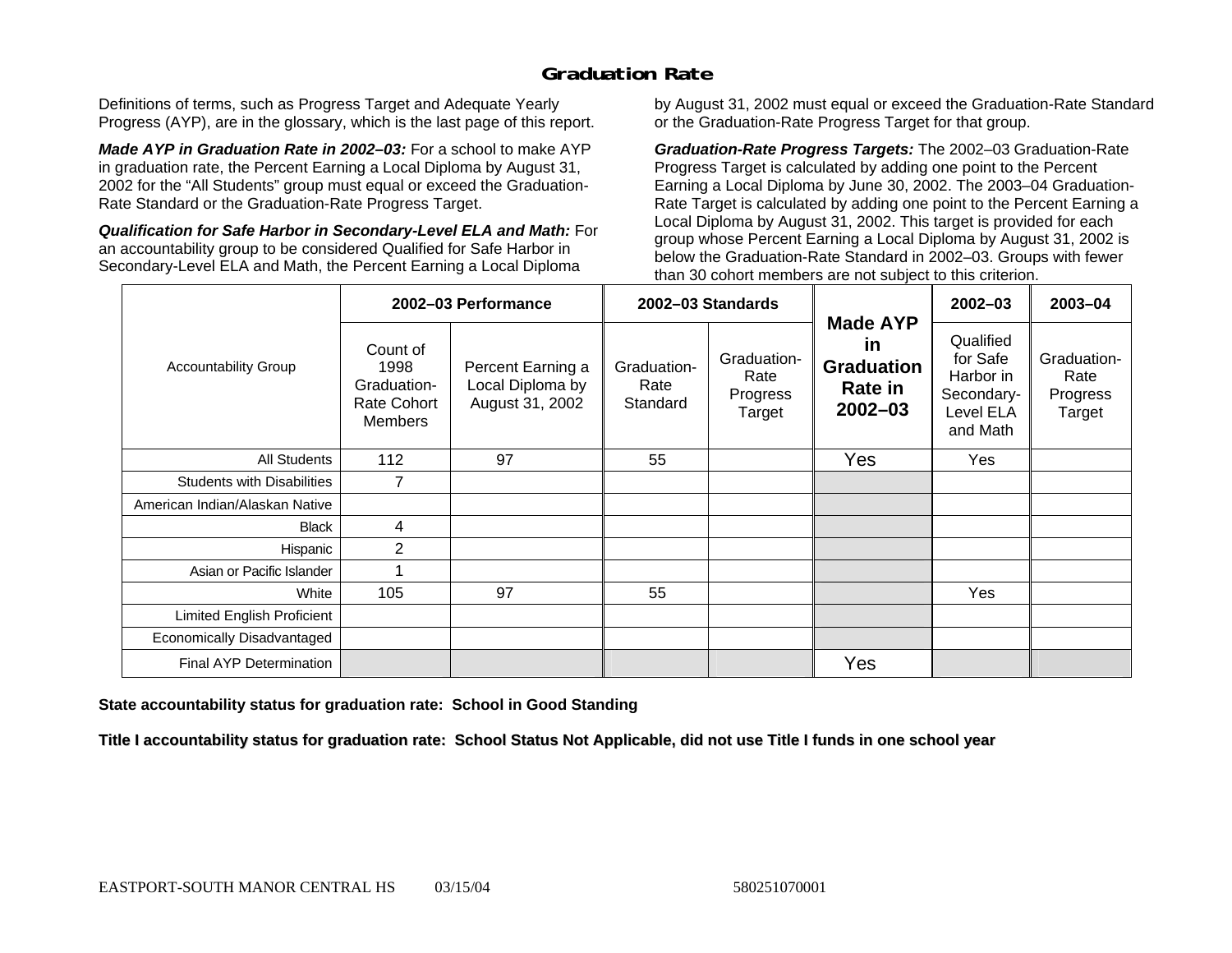### **Graduation Rate**

Definitions of terms, such as Progress Target and Adequate Yearly Progress (AYP), are in the glossary, which is the last page of this report.

*Made AYP in Graduation Rate in 2002–03:* For a school to make AYP in graduation rate, the Percent Earning a Local Diploma by August 31, 2002 for the "All Students" group must equal or exceed the Graduation-Rate Standard or the Graduation-Rate Progress Target.

*Qualification for Safe Harbor in Secondary-Level ELA and Math:* For an accountability group to be considered Qualified for Safe Harbor in Secondary-Level ELA and Math, the Percent Earning a Local Diploma

by August 31, 2002 must equal or exceed the Graduation-Rate Standard or the Graduation-Rate Progress Target for that group.

*Graduation-Rate Progress Targets:* The 2002–03 Graduation-Rate Progress Target is calculated by adding one point to the Percent Earning a Local Diploma by June 30, 2002. The 2003–04 Graduation-Rate Target is calculated by adding one point to the Percent Earning a Local Diploma by August 31, 2002. This target is provided for each group whose Percent Earning a Local Diploma by August 31, 2002 is below the Graduation-Rate Standard in 2002–03. Groups with fewer than 30 cohort members are not subject to this criterion.

|                                   |                                                                         | 2002-03 Performance                                      |                                 | 2002-03 Standards                         |                                                                      | 2002-03                                                                   | 2003-04                                   |
|-----------------------------------|-------------------------------------------------------------------------|----------------------------------------------------------|---------------------------------|-------------------------------------------|----------------------------------------------------------------------|---------------------------------------------------------------------------|-------------------------------------------|
| <b>Accountability Group</b>       | Count of<br>1998<br>Graduation-<br><b>Rate Cohort</b><br><b>Members</b> | Percent Earning a<br>Local Diploma by<br>August 31, 2002 | Graduation-<br>Rate<br>Standard | Graduation-<br>Rate<br>Progress<br>Target | <b>Made AYP</b><br>in<br><b>Graduation</b><br>Rate in<br>$2002 - 03$ | Qualified<br>for Safe<br>Harbor in<br>Secondary-<br>Level ELA<br>and Math | Graduation-<br>Rate<br>Progress<br>Target |
| All Students                      | 112                                                                     | 97                                                       | 55                              |                                           | Yes                                                                  | Yes                                                                       |                                           |
| <b>Students with Disabilities</b> |                                                                         |                                                          |                                 |                                           |                                                                      |                                                                           |                                           |
| American Indian/Alaskan Native    |                                                                         |                                                          |                                 |                                           |                                                                      |                                                                           |                                           |
| <b>Black</b>                      | $\overline{4}$                                                          |                                                          |                                 |                                           |                                                                      |                                                                           |                                           |
| Hispanic                          | $\overline{2}$                                                          |                                                          |                                 |                                           |                                                                      |                                                                           |                                           |
| Asian or Pacific Islander         |                                                                         |                                                          |                                 |                                           |                                                                      |                                                                           |                                           |
| White                             | 105                                                                     | 97                                                       | 55                              |                                           |                                                                      | Yes                                                                       |                                           |
| Limited English Proficient        |                                                                         |                                                          |                                 |                                           |                                                                      |                                                                           |                                           |
| Economically Disadvantaged        |                                                                         |                                                          |                                 |                                           |                                                                      |                                                                           |                                           |
| Final AYP Determination           |                                                                         |                                                          |                                 |                                           | Yes                                                                  |                                                                           |                                           |

#### **State accountability status for graduation rate: School in Good Standing**

Title I accountability status for graduation rate: School Status Not Applicable, did not use Title I funds in one school year